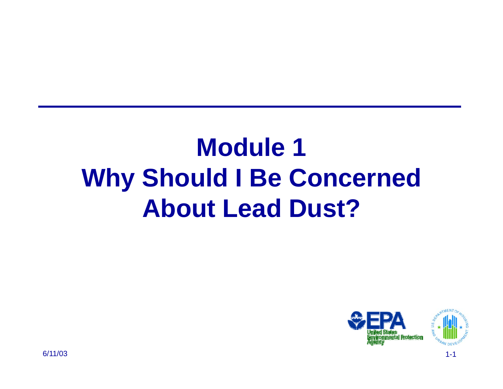### **Module 1Why Should I Be Concerned About Lead Dust?**

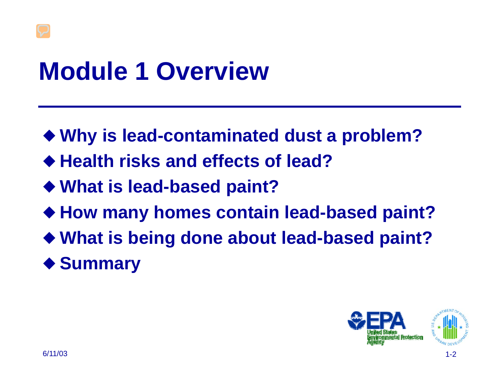### **Module 1 Overview**

- **Why is lead-contaminated dust a problem?**
- **Health risks and effects of lead?**
- **What is lead-based paint?**
- **How many homes contain lead-based paint?**
- **What is being done about lead-based paint?**
- **Summary**

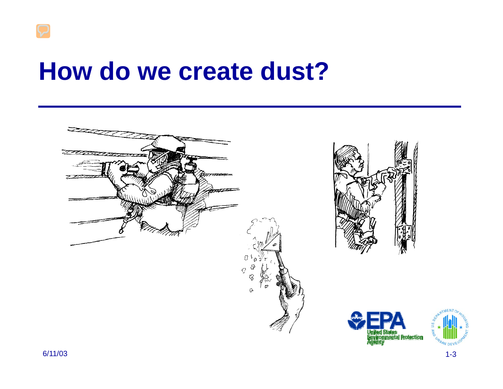### **How do we create dust?**

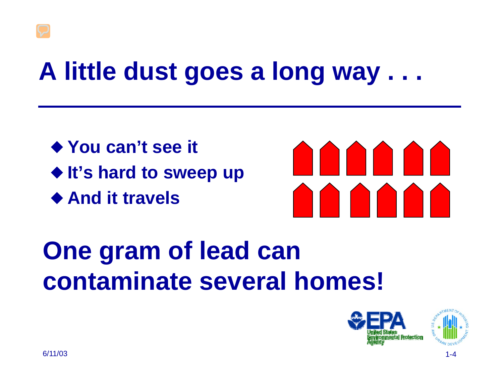### **A little dust goes a long way . . .**

— **You can't see it** ◆ It's hard to sweep up ◆ And it travels



### **One gram of lead can contaminate several homes!**



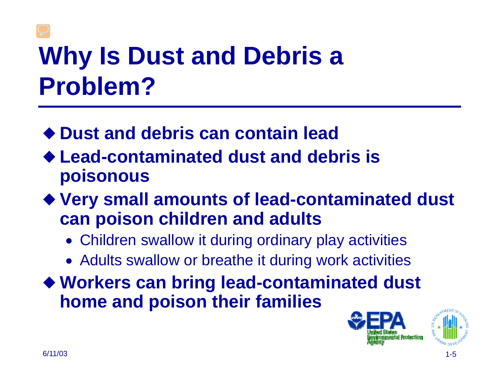## **Why Is Dust and Debris a Problem?**

- **Dust and debris can contain lead**
- **Lead-contaminated dust and debris is poisonous**
- **Very small amounts of lead-contaminated dust can poison children and adults**
	- Children swallow it during ordinary play activities
	- Adults swallow or breathe it during work activities

— **Workers can bring lead-contaminated dust home and poison their families**

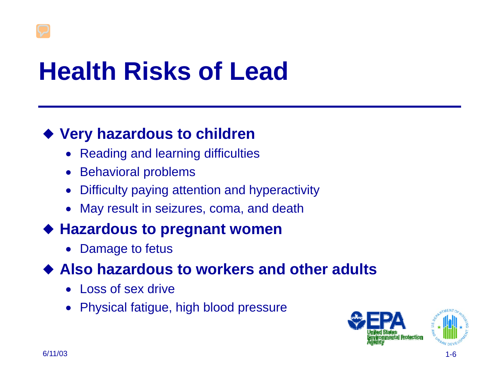## **Health Risks of Lead**

#### — **Very hazardous to children**

- Reading and learning difficulties
- Behavioral problems
- •Difficulty paying attention and hyperactivity
- May result in seizures, coma, and death

#### — **Hazardous to pregnant women**

•Damage to fetus

#### ◆ Also hazardous to workers and other adults

- Loss of sex drive
- Physical fatigue, high blood pressure

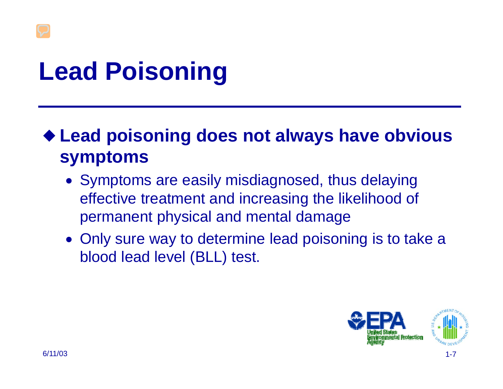# **Lead Poisoning**

— **Lead poisoning does not always have obvious symptoms** 

- Symptoms are easily misdiagnosed, thus delaying effective treatment and increasing the likelihood of permanent physical and mental damage
- Only sure way to determine lead poisoning is to take a blood lead level (BLL) test.

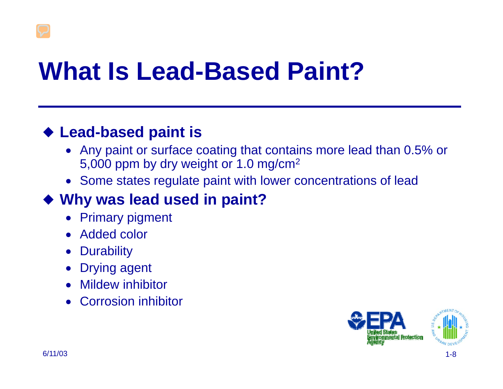## **What Is Lead-Based Paint?**

#### — **Lead-based paint is**

- Any paint or surface coating that contains more lead than 0.5% or 5,000 ppm by dry weight or 1.0 mg/cm2
- Some states regulate paint with lower concentrations of lead

### — **Why was lead used in paint?**

- Primary pigment
- Added color
- Durability
- Drying agent
- Mildew inhibitor
- Corrosion inhibitor

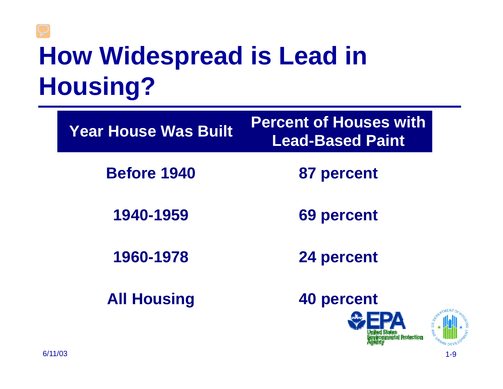### **How Widespread is Lead in Housing?**

| <b>Year House Was Built</b> | <b>Percent of Houses with</b><br><b>Lead-Based Paint</b> |
|-----------------------------|----------------------------------------------------------|
| <b>Before 1940</b>          | 87 percent                                               |
| 1940-1959                   | <b>69 percent</b>                                        |
| 1960-1978                   | 24 percent                                               |
| <b>All Housing</b>          | 40 percent                                               |

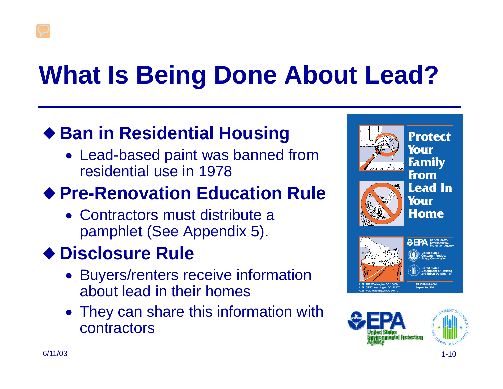# **What Is Being Done About Lead?**

### — **Ban in Residential Housing**

• Lead-based paint was banned from residential use in 1978

### — **Pre-Renovation Education Rule**

• Contractors must distribute a pamphlet (See Appendix 5).

### — **Disclosure Rule**

- Buyers/renters receive information about lead in their homes
- They can share this information with contractors



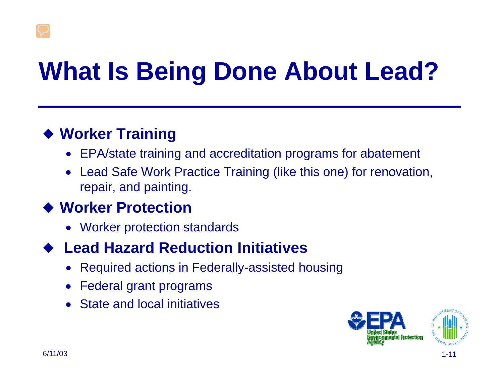# **What Is Being Done About Lead?**

#### — **Worker Training**

- EPA/state training and accreditation programs for abatement
- Lead Safe Work Practice Training (like this one) for renovation, repair, and painting.

#### — **Worker Protection**

• Worker protection standards

#### $\blacklozenge$ **Lead Hazard Reduction Initiatives**

- Required actions in Federally-assisted housing
- •Federal grant programs
- State and local initiatives

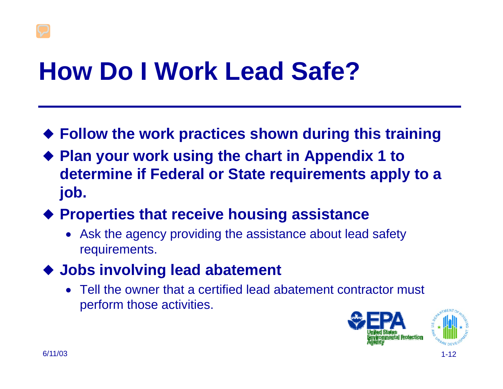## **How Do I Work Lead Safe?**

- **Follow the work practices shown during this training**
- ◆ Plan your work using the chart in Appendix 1 to **determine if Federal or State requirements apply to a job.**
- **Properties that receive housing assistance**
	- Ask the agency providing the assistance about lead safety requirements.
- **Jobs involving lead abatement**
	- Tell the owner that a certified lead abatement contractor must perform those activities.